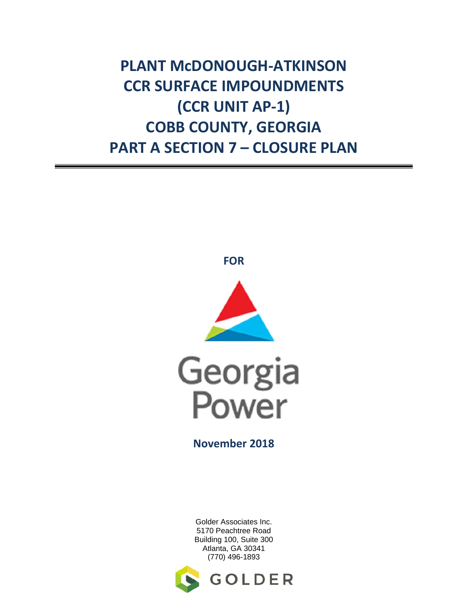**PLANT McDONOUGH‐ATKINSON CCR SURFACE IMPOUNDMENTS (CCR UNIT AP‐1) COBB COUNTY, GEORGIA PART A SECTION 7 – CLOSURE PLAN**

**FOR**





**November 2018**

Golder Associates Inc. 5170 Peachtree Road Building 100, Suite 300 Atlanta, GA 30341 (770) 496-1893

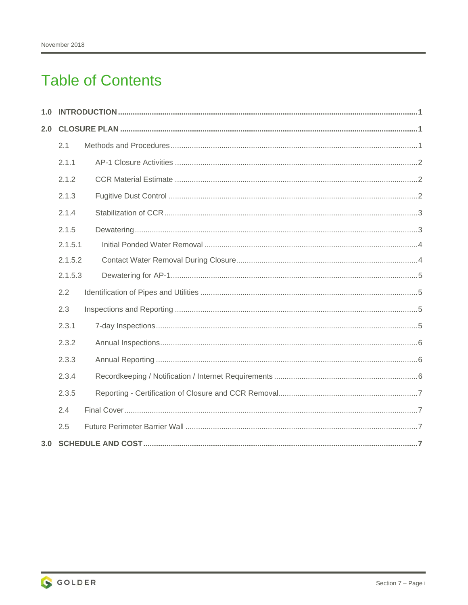# **Table of Contents**

| 1.0 |         |  |  |
|-----|---------|--|--|
| 2.0 |         |  |  |
|     | 2.1     |  |  |
|     | 2.1.1   |  |  |
|     | 2.1.2   |  |  |
|     | 2.1.3   |  |  |
|     | 2.1.4   |  |  |
|     | 2.1.5   |  |  |
|     | 2.1.5.1 |  |  |
|     | 2.1.5.2 |  |  |
|     | 2.1.5.3 |  |  |
|     | 2.2     |  |  |
|     | 2.3     |  |  |
|     | 2.3.1   |  |  |
|     | 2.3.2   |  |  |
|     | 2.3.3   |  |  |
|     | 2.3.4   |  |  |
|     | 2.3.5   |  |  |
|     | 2.4     |  |  |
|     | 2.5     |  |  |
| 3.0 |         |  |  |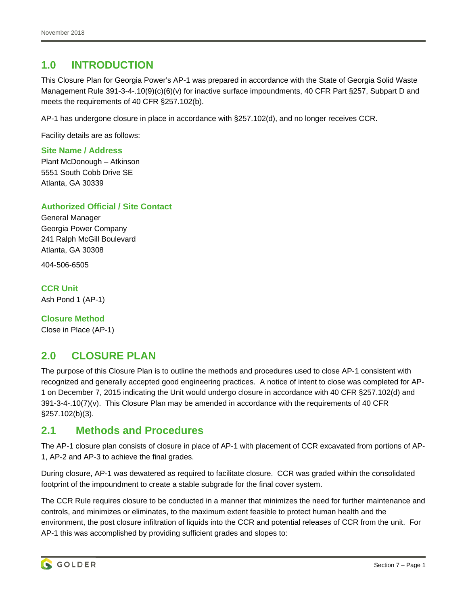# **1.0 INTRODUCTION**

This Closure Plan for Georgia Power's AP-1 was prepared in accordance with the State of Georgia Solid Waste Management Rule 391-3-4-.10(9)(c)(6)(v) for inactive surface impoundments, 40 CFR Part §257, Subpart D and meets the requirements of 40 CFR §257.102(b).

AP-1 has undergone closure in place in accordance with §257.102(d), and no longer receives CCR.

Facility details are as follows:

#### **Site Name / Address**

Plant McDonough – Atkinson 5551 South Cobb Drive SE Atlanta, GA 30339

#### **Authorized Official / Site Contact**

General Manager Georgia Power Company 241 Ralph McGill Boulevard Atlanta, GA 30308

404-506-6505

#### **CCR Unit**

Ash Pond 1 (AP-1)

**Closure Method**  Close in Place (AP-1)

# **2.0 CLOSURE PLAN**

The purpose of this Closure Plan is to outline the methods and procedures used to close AP-1 consistent with recognized and generally accepted good engineering practices. A notice of intent to close was completed for AP-1 on December 7, 2015 indicating the Unit would undergo closure in accordance with 40 CFR §257.102(d) and  $391-3-4-10(7)(v)$ . This Closure Plan may be amended in accordance with the requirements of 40 CFR §257.102(b)(3).

## **2.1 Methods and Procedures**

The AP-1 closure plan consists of closure in place of AP-1 with placement of CCR excavated from portions of AP-1, AP-2 and AP-3 to achieve the final grades.

During closure, AP-1 was dewatered as required to facilitate closure. CCR was graded within the consolidated footprint of the impoundment to create a stable subgrade for the final cover system.

The CCR Rule requires closure to be conducted in a manner that minimizes the need for further maintenance and controls, and minimizes or eliminates, to the maximum extent feasible to protect human health and the environment, the post closure infiltration of liquids into the CCR and potential releases of CCR from the unit. For AP-1 this was accomplished by providing sufficient grades and slopes to: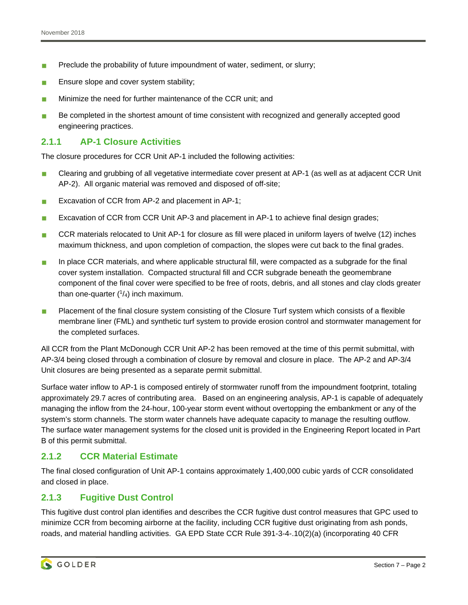- **Preclude the probability of future impoundment of water, sediment, or slurry;**
- Ensure slope and cover system stability;
- Minimize the need for further maintenance of the CCR unit; and
- Be completed in the shortest amount of time consistent with recognized and generally accepted good engineering practices.

## **2.1.1 AP-1 Closure Activities**

The closure procedures for CCR Unit AP-1 included the following activities:

- Clearing and grubbing of all vegetative intermediate cover present at AP-1 (as well as at adjacent CCR Unit AP-2). All organic material was removed and disposed of off-site;
- **EXCAVATER 15 EXCAVATE:** Excavation of CCR from AP-2 and placement in AP-1;
- Excavation of CCR from CCR Unit AP-3 and placement in AP-1 to achieve final design grades;
- CCR materials relocated to Unit AP-1 for closure as fill were placed in uniform layers of twelve (12) inches maximum thickness, and upon completion of compaction, the slopes were cut back to the final grades.
- In place CCR materials, and where applicable structural fill, were compacted as a subgrade for the final cover system installation. Compacted structural fill and CCR subgrade beneath the geomembrane component of the final cover were specified to be free of roots, debris, and all stones and clay clods greater than one-quarter  $(1/4)$  inch maximum.
- **Placement of the final closure system consisting of the Closure Turf system which consists of a flexible** membrane liner (FML) and synthetic turf system to provide erosion control and stormwater management for the completed surfaces.

All CCR from the Plant McDonough CCR Unit AP-2 has been removed at the time of this permit submittal, with AP-3/4 being closed through a combination of closure by removal and closure in place. The AP-2 and AP-3/4 Unit closures are being presented as a separate permit submittal.

Surface water inflow to AP-1 is composed entirely of stormwater runoff from the impoundment footprint, totaling approximately 29.7 acres of contributing area. Based on an engineering analysis, AP-1 is capable of adequately managing the inflow from the 24-hour, 100-year storm event without overtopping the embankment or any of the system's storm channels. The storm water channels have adequate capacity to manage the resulting outflow. The surface water management systems for the closed unit is provided in the Engineering Report located in Part B of this permit submittal.

## **2.1.2 CCR Material Estimate**

The final closed configuration of Unit AP-1 contains approximately 1,400,000 cubic yards of CCR consolidated and closed in place.

## **2.1.3 Fugitive Dust Control**

This fugitive dust control plan identifies and describes the CCR fugitive dust control measures that GPC used to minimize CCR from becoming airborne at the facility, including CCR fugitive dust originating from ash ponds, roads, and material handling activities. GA EPD State CCR Rule 391-3-4-.10(2)(a) (incorporating 40 CFR

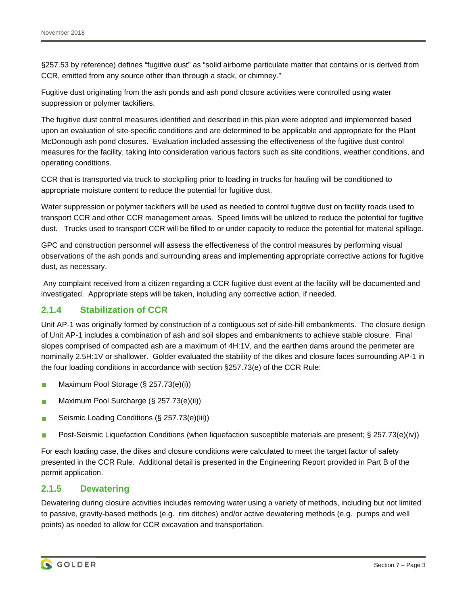§257.53 by reference) defines "fugitive dust" as "solid airborne particulate matter that contains or is derived from CCR, emitted from any source other than through a stack, or chimney."

Fugitive dust originating from the ash ponds and ash pond closure activities were controlled using water suppression or polymer tackifiers.

The fugitive dust control measures identified and described in this plan were adopted and implemented based upon an evaluation of site-specific conditions and are determined to be applicable and appropriate for the Plant McDonough ash pond closures. Evaluation included assessing the effectiveness of the fugitive dust control measures for the facility, taking into consideration various factors such as site conditions, weather conditions, and operating conditions.

CCR that is transported via truck to stockpiling prior to loading in trucks for hauling will be conditioned to appropriate moisture content to reduce the potential for fugitive dust.

Water suppression or polymer tackifiers will be used as needed to control fugitive dust on facility roads used to transport CCR and other CCR management areas. Speed limits will be utilized to reduce the potential for fugitive dust. Trucks used to transport CCR will be filled to or under capacity to reduce the potential for material spillage.

GPC and construction personnel will assess the effectiveness of the control measures by performing visual observations of the ash ponds and surrounding areas and implementing appropriate corrective actions for fugitive dust, as necessary.

 Any complaint received from a citizen regarding a CCR fugitive dust event at the facility will be documented and investigated. Appropriate steps will be taken, including any corrective action, if needed.

## **2.1.4 Stabilization of CCR**

Unit AP-1 was originally formed by construction of a contiguous set of side-hill embankments. The closure design of Unit AP-1 includes a combination of ash and soil slopes and embankments to achieve stable closure. Final slopes comprised of compacted ash are a maximum of 4H:1V, and the earthen dams around the perimeter are nominally 2.5H:1V or shallower. Golder evaluated the stability of the dikes and closure faces surrounding AP-1 in the four loading conditions in accordance with section §257.73(e) of the CCR Rule:

- **Maximum Pool Storage (§ 257.73(e)(i))**
- **Maximum Pool Surcharge (§ 257.73(e)(ii))**
- Seismic Loading Conditions (§ 257.73(e)(iii))
- Post-Seismic Liquefaction Conditions (when liquefaction susceptible materials are present; § 257.73(e)(iv))

For each loading case, the dikes and closure conditions were calculated to meet the target factor of safety presented in the CCR Rule. Additional detail is presented in the Engineering Report provided in Part B of the permit application.

#### **2.1.5 Dewatering**

Dewatering during closure activities includes removing water using a variety of methods, including but not limited to passive, gravity-based methods (e.g. rim ditches) and/or active dewatering methods (e.g. pumps and well points) as needed to allow for CCR excavation and transportation.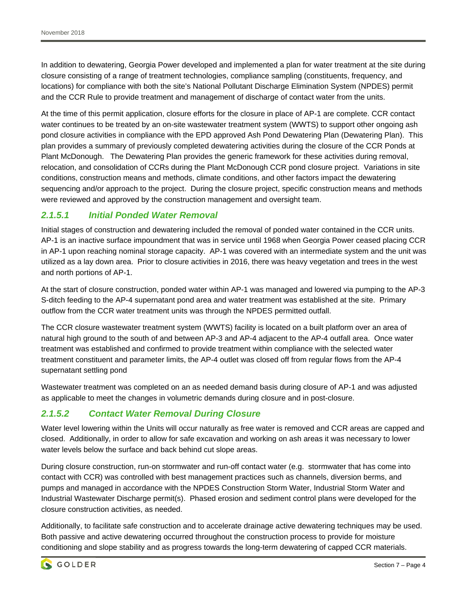In addition to dewatering, Georgia Power developed and implemented a plan for water treatment at the site during closure consisting of a range of treatment technologies, compliance sampling (constituents, frequency, and locations) for compliance with both the site's National Pollutant Discharge Elimination System (NPDES) permit and the CCR Rule to provide treatment and management of discharge of contact water from the units.

At the time of this permit application, closure efforts for the closure in place of AP-1 are complete. CCR contact water continues to be treated by an on-site wastewater treatment system (WWTS) to support other ongoing ash pond closure activities in compliance with the EPD approved Ash Pond Dewatering Plan (Dewatering Plan). This plan provides a summary of previously completed dewatering activities during the closure of the CCR Ponds at Plant McDonough. The Dewatering Plan provides the generic framework for these activities during removal, relocation, and consolidation of CCRs during the Plant McDonough CCR pond closure project. Variations in site conditions, construction means and methods, climate conditions, and other factors impact the dewatering sequencing and/or approach to the project. During the closure project, specific construction means and methods were reviewed and approved by the construction management and oversight team.

## *2.1.5.1 Initial Ponded Water Removal*

Initial stages of construction and dewatering included the removal of ponded water contained in the CCR units. AP-1 is an inactive surface impoundment that was in service until 1968 when Georgia Power ceased placing CCR in AP-1 upon reaching nominal storage capacity. AP-1 was covered with an intermediate system and the unit was utilized as a lay down area. Prior to closure activities in 2016, there was heavy vegetation and trees in the west and north portions of AP-1.

At the start of closure construction, ponded water within AP-1 was managed and lowered via pumping to the AP-3 S-ditch feeding to the AP-4 supernatant pond area and water treatment was established at the site. Primary outflow from the CCR water treatment units was through the NPDES permitted outfall.

The CCR closure wastewater treatment system (WWTS) facility is located on a built platform over an area of natural high ground to the south of and between AP-3 and AP-4 adjacent to the AP-4 outfall area. Once water treatment was established and confirmed to provide treatment within compliance with the selected water treatment constituent and parameter limits, the AP-4 outlet was closed off from regular flows from the AP-4 supernatant settling pond

Wastewater treatment was completed on an as needed demand basis during closure of AP-1 and was adjusted as applicable to meet the changes in volumetric demands during closure and in post-closure.

## *2.1.5.2 Contact Water Removal During Closure*

Water level lowering within the Units will occur naturally as free water is removed and CCR areas are capped and closed. Additionally, in order to allow for safe excavation and working on ash areas it was necessary to lower water levels below the surface and back behind cut slope areas.

During closure construction, run-on stormwater and run-off contact water (e.g. stormwater that has come into contact with CCR) was controlled with best management practices such as channels, diversion berms, and pumps and managed in accordance with the NPDES Construction Storm Water, Industrial Storm Water and Industrial Wastewater Discharge permit(s). Phased erosion and sediment control plans were developed for the closure construction activities, as needed.

Additionally, to facilitate safe construction and to accelerate drainage active dewatering techniques may be used. Both passive and active dewatering occurred throughout the construction process to provide for moisture conditioning and slope stability and as progress towards the long-term dewatering of capped CCR materials.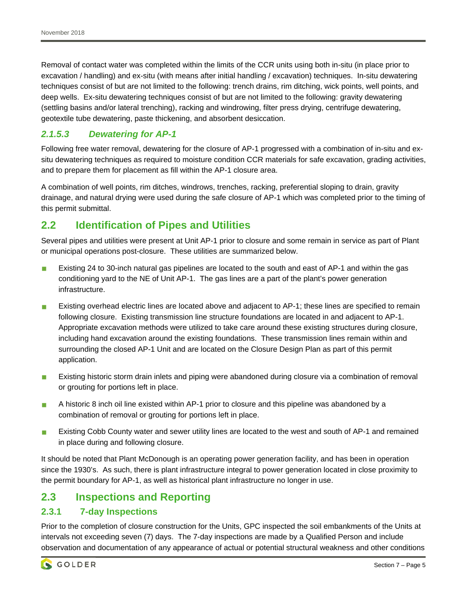Removal of contact water was completed within the limits of the CCR units using both in-situ (in place prior to excavation / handling) and ex-situ (with means after initial handling / excavation) techniques. In-situ dewatering techniques consist of but are not limited to the following: trench drains, rim ditching, wick points, well points, and deep wells. Ex-situ dewatering techniques consist of but are not limited to the following: gravity dewatering (settling basins and/or lateral trenching), racking and windrowing, filter press drying, centrifuge dewatering, geotextile tube dewatering, paste thickening, and absorbent desiccation.

## *2.1.5.3 Dewatering for AP-1*

Following free water removal, dewatering for the closure of AP-1 progressed with a combination of in-situ and exsitu dewatering techniques as required to moisture condition CCR materials for safe excavation, grading activities, and to prepare them for placement as fill within the AP-1 closure area.

A combination of well points, rim ditches, windrows, trenches, racking, preferential sloping to drain, gravity drainage, and natural drying were used during the safe closure of AP-1 which was completed prior to the timing of this permit submittal.

# **2.2 Identification of Pipes and Utilities**

Several pipes and utilities were present at Unit AP-1 prior to closure and some remain in service as part of Plant or municipal operations post-closure. These utilities are summarized below.

- **Existing 24 to 30-inch natural gas pipelines are located to the south and east of AP-1 and within the gas** conditioning yard to the NE of Unit AP-1. The gas lines are a part of the plant's power generation infrastructure.
- Existing overhead electric lines are located above and adjacent to AP-1; these lines are specified to remain following closure. Existing transmission line structure foundations are located in and adjacent to AP-1. Appropriate excavation methods were utilized to take care around these existing structures during closure, including hand excavation around the existing foundations. These transmission lines remain within and surrounding the closed AP-1 Unit and are located on the Closure Design Plan as part of this permit application.
- **Existing historic storm drain inlets and piping were abandoned during closure via a combination of removal** or grouting for portions left in place.
- A historic 8 inch oil line existed within AP-1 prior to closure and this pipeline was abandoned by a combination of removal or grouting for portions left in place.
- **Existing Cobb County water and sewer utility lines are located to the west and south of AP-1 and remained** in place during and following closure.

It should be noted that Plant McDonough is an operating power generation facility, and has been in operation since the 1930's. As such, there is plant infrastructure integral to power generation located in close proximity to the permit boundary for AP-1, as well as historical plant infrastructure no longer in use.

# **2.3 Inspections and Reporting**

## **2.3.1 7-day Inspections**

Prior to the completion of closure construction for the Units, GPC inspected the soil embankments of the Units at intervals not exceeding seven (7) days. The 7-day inspections are made by a Qualified Person and include observation and documentation of any appearance of actual or potential structural weakness and other conditions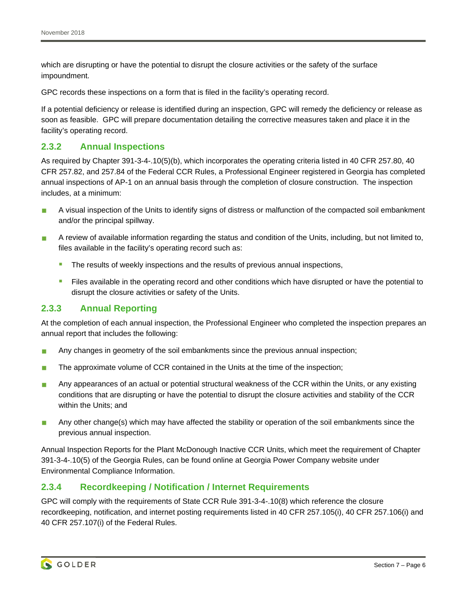which are disrupting or have the potential to disrupt the closure activities or the safety of the surface impoundment.

GPC records these inspections on a form that is filed in the facility's operating record.

If a potential deficiency or release is identified during an inspection, GPC will remedy the deficiency or release as soon as feasible. GPC will prepare documentation detailing the corrective measures taken and place it in the facility's operating record.

#### **2.3.2 Annual Inspections**

As required by Chapter 391-3-4-.10(5)(b), which incorporates the operating criteria listed in 40 CFR 257.80, 40 CFR 257.82, and 257.84 of the Federal CCR Rules, a Professional Engineer registered in Georgia has completed annual inspections of AP-1 on an annual basis through the completion of closure construction. The inspection includes, at a minimum:

- A visual inspection of the Units to identify signs of distress or malfunction of the compacted soil embankment and/or the principal spillway.
- A review of available information regarding the status and condition of the Units, including, but not limited to, files available in the facility's operating record such as:
	- The results of weekly inspections and the results of previous annual inspections,
	- Files available in the operating record and other conditions which have disrupted or have the potential to disrupt the closure activities or safety of the Units.

#### **2.3.3 Annual Reporting**

At the completion of each annual inspection, the Professional Engineer who completed the inspection prepares an annual report that includes the following:

- Any changes in geometry of the soil embankments since the previous annual inspection;
- $\blacksquare$  The approximate volume of CCR contained in the Units at the time of the inspection;
- **Any appearances of an actual or potential structural weakness of the CCR within the Units, or any existing** conditions that are disrupting or have the potential to disrupt the closure activities and stability of the CCR within the Units; and
- Any other change(s) which may have affected the stability or operation of the soil embankments since the previous annual inspection.

Annual Inspection Reports for the Plant McDonough Inactive CCR Units, which meet the requirement of Chapter 391-3-4-.10(5) of the Georgia Rules, can be found online at Georgia Power Company website under Environmental Compliance Information.

#### **2.3.4 Recordkeeping / Notification / Internet Requirements**

GPC will comply with the requirements of State CCR Rule 391-3-4-.10(8) which reference the closure recordkeeping, notification, and internet posting requirements listed in 40 CFR 257.105(i), 40 CFR 257.106(i) and 40 CFR 257.107(i) of the Federal Rules.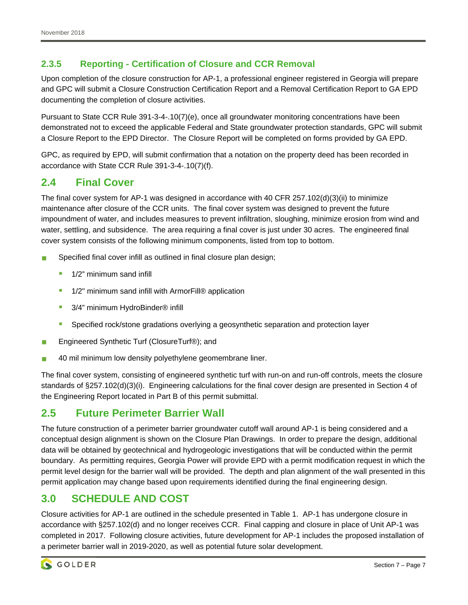## **2.3.5 Reporting - Certification of Closure and CCR Removal**

Upon completion of the closure construction for AP-1, a professional engineer registered in Georgia will prepare and GPC will submit a Closure Construction Certification Report and a Removal Certification Report to GA EPD documenting the completion of closure activities.

Pursuant to State CCR Rule 391-3-4-.10(7)(e), once all groundwater monitoring concentrations have been demonstrated not to exceed the applicable Federal and State groundwater protection standards, GPC will submit a Closure Report to the EPD Director. The Closure Report will be completed on forms provided by GA EPD.

GPC, as required by EPD, will submit confirmation that a notation on the property deed has been recorded in accordance with State CCR Rule 391-3-4-.10(7)(f).

# **2.4 Final Cover**

The final cover system for AP-1 was designed in accordance with 40 CFR 257.102(d)(3)(ii) to minimize maintenance after closure of the CCR units. The final cover system was designed to prevent the future impoundment of water, and includes measures to prevent infiltration, sloughing, minimize erosion from wind and water, settling, and subsidence. The area requiring a final cover is just under 30 acres. The engineered final cover system consists of the following minimum components, listed from top to bottom.

- Specified final cover infill as outlined in final closure plan design;
	- 1/2" minimum sand infill
	- 1/2" minimum sand infill with ArmorFill® application
	- 3/4" minimum HydroBinder<sup>®</sup> infill
	- **Specified rock/stone gradations overlying a geosynthetic separation and protection layer**
- Engineered Synthetic Turf (ClosureTurf®); and
- 40 mil minimum low density polyethylene geomembrane liner.

The final cover system, consisting of engineered synthetic turf with run-on and run-off controls, meets the closure standards of §257.102(d)(3)(i). Engineering calculations for the final cover design are presented in Section 4 of the Engineering Report located in Part B of this permit submittal.

# **2.5 Future Perimeter Barrier Wall**

The future construction of a perimeter barrier groundwater cutoff wall around AP-1 is being considered and a conceptual design alignment is shown on the Closure Plan Drawings. In order to prepare the design, additional data will be obtained by geotechnical and hydrogeologic investigations that will be conducted within the permit boundary. As permitting requires, Georgia Power will provide EPD with a permit modification request in which the permit level design for the barrier wall will be provided. The depth and plan alignment of the wall presented in this permit application may change based upon requirements identified during the final engineering design.

# **3.0 SCHEDULE AND COST**

Closure activities for AP-1 are outlined in the schedule presented in Table 1. AP-1 has undergone closure in accordance with §257.102(d) and no longer receives CCR. Final capping and closure in place of Unit AP-1 was completed in 2017. Following closure activities, future development for AP-1 includes the proposed installation of a perimeter barrier wall in 2019-2020, as well as potential future solar development.